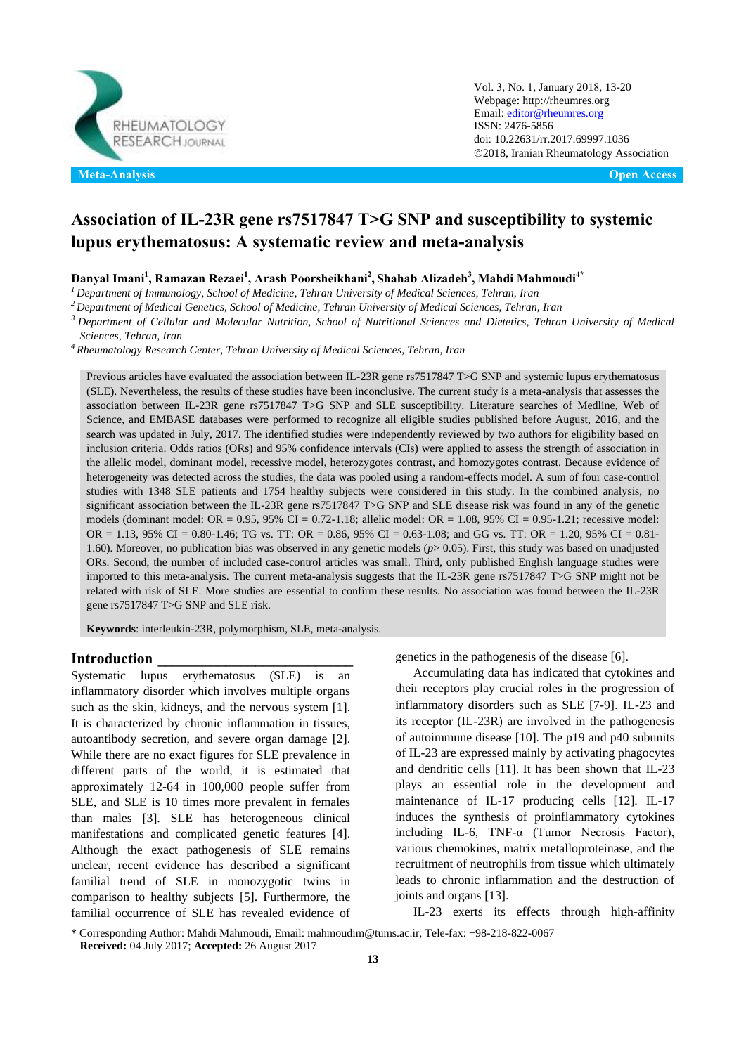

Vol. 3, No. 1, January 2018, 13-20 Webpage: http://rheumres.org Email[: editor@rheumres.org](mailto:editor@rheumres.org) ISSN: 2476-5856 doi[: 10.22631/rr.2017.69997.1036](http://dx.doi.org/10.22631/rr.2017.69997.1021) 2018, Iranian Rheumatology Association

# **Association of IL-23R gene rs7517847 T>G SNP and susceptibility to systemic lupus erythematosus: A systematic review and meta-analysis**

**Danyal Imani<sup>1</sup> , Ramazan Rezaei<sup>1</sup> , Arash Poorsheikhani<sup>2</sup> , Shahab Alizadeh<sup>3</sup> , Mahdi Mahmoudi4\***

*<sup>1</sup>Department of Immunology, School of Medicine, Tehran University of Medical Sciences, Tehran, Iran* 

*<sup>2</sup>Department of Medical Genetics, School of Medicine, Tehran University of Medical Sciences, Tehran, Iran* 

*<sup>3</sup>Department of Cellular and Molecular Nutrition, School of Nutritional Sciences and Dietetics, Tehran University of Medical Sciences, Tehran, Iran* 

*<sup>4</sup>Rheumatology Research Center, Tehran University of Medical Sciences, Tehran, Iran* 

Previous articles have evaluated the association between IL-23R gene rs7517847 T>G SNP and systemic lupus erythematosus (SLE). Nevertheless, the results of these studies have been inconclusive. The current study is a meta-analysis that assesses the association between IL-23R gene rs7517847 T>G SNP and SLE susceptibility. Literature searches of Medline, Web of Science, and [EMBASE](http://handbook.cochrane.org/chapter_6/6_2_1_3_medline_and_embase.htm) databases were performed to recognize all eligible studies published before August, 2016, and the search was updated in July, 2017. The identified studies were independently reviewed by two authors for eligibility based on inclusion criteria. Odds ratios (ORs) and 95% confidence intervals (CIs) were applied to assess the strength of association in the allelic model, dominant model, recessive model, heterozygotes contrast, and homozygotes contrast. Because evidence of heterogeneity was detected across the studies, the data was pooled using a random-effects model. A sum of four case-control studies with 1348 SLE patients and 1754 healthy subjects were considered in this study. In the combined analysis, no significant association between the IL-23R gene rs7517847 T>G SNP and [SLE disease](http://press.endocrine.org/doi/abs/10.1210/jcem.80.1.7829637) risk was found in any of the genetic models (dominant model: OR = 0.95, 95% CI = 0.72-1.18; allelic model: OR = 1.08, 95% CI = 0.95-1.21; recessive model: OR = 1.13, 95% CI = 0.80-1.46; TG vs. TT: OR = 0.86, 95% CI = 0.63-1.08; and GG vs. TT: OR = 1.20, 95% CI = 0.81- 1.60). Moreover, no publication bias was observed in any genetic models (*p*> 0.05). First, this study was based on unadjusted ORs. Second, the number of included case-control articles was small. Third, only published English language studies were imported to this meta-analysis. The current meta-analysis suggests that the IL-23R gene rs7517847 T>G SNP might not be related with risk of SLE. More studies are essential to confirm these results. No association was found between the IL-23R gene rs7517847 T>G SNP and SLE risk.

**Keywords**: interleukin-23R, polymorphism, SLE, meta-analysis.

### **Introduction \_\_\_\_\_\_\_\_\_\_\_\_\_\_\_\_\_\_\_\_\_\_\_\_\_\_**

Systematic lupus erythematosus (SLE) is an inflammatory disorder which involves multiple organs such as the skin, kidneys, and the nervous system [1]. It is characterized by chronic inflammation in tissues, autoantibody secretion, and severe organ damage [2]. While there are no exact figures for SLE prevalence in different parts of the world, it is estimated that approximately 12-64 in 100,000 people suffer from SLE, and SLE is 10 times more prevalent in females than males [3]. SLE has heterogeneous clinical manifestations and complicated genetic features [4]. Although the exact pathogenesis of SLE remains unclear, recent evidence has described a significant familial trend of SLE in monozygotic twins in comparison to healthy subjects [5]. Furthermore, the familial occurrence of SLE has revealed evidence of genetics in the pathogenesis of the disease [6].

Accumulating data has indicated that cytokines and their receptors play crucial roles in the progression of inflammatory disorders such as SLE [7-9]. IL-23 and its receptor (IL-23R) are involved in the pathogenesis of autoimmune disease [10]. The p19 and p40 subunits of IL-23 are expressed mainly by activating phagocytes and dendritic cells [11]. It has been shown that IL-23 plays an essential role in the development and maintenance of IL-17 producing cells [12]. IL-17 induces the synthesis of proinflammatory cytokines including IL-6, TNF-α (Tumor Necrosis Factor), various chemokines, matrix metalloproteinase, and the recruitment of neutrophils from tissue which ultimately leads to chronic inflammation and the destruction of joints and organs [13].

IL-23 exerts its effects through high-affinity

<sup>\*</sup> Corresponding Author: Mahdi Mahmoudi, Email: mahmoudim@tums.ac.ir, Tele-fax: +98-218-822-0067 **Received:** 04 July 2017; **Accepted:** 26 August 2017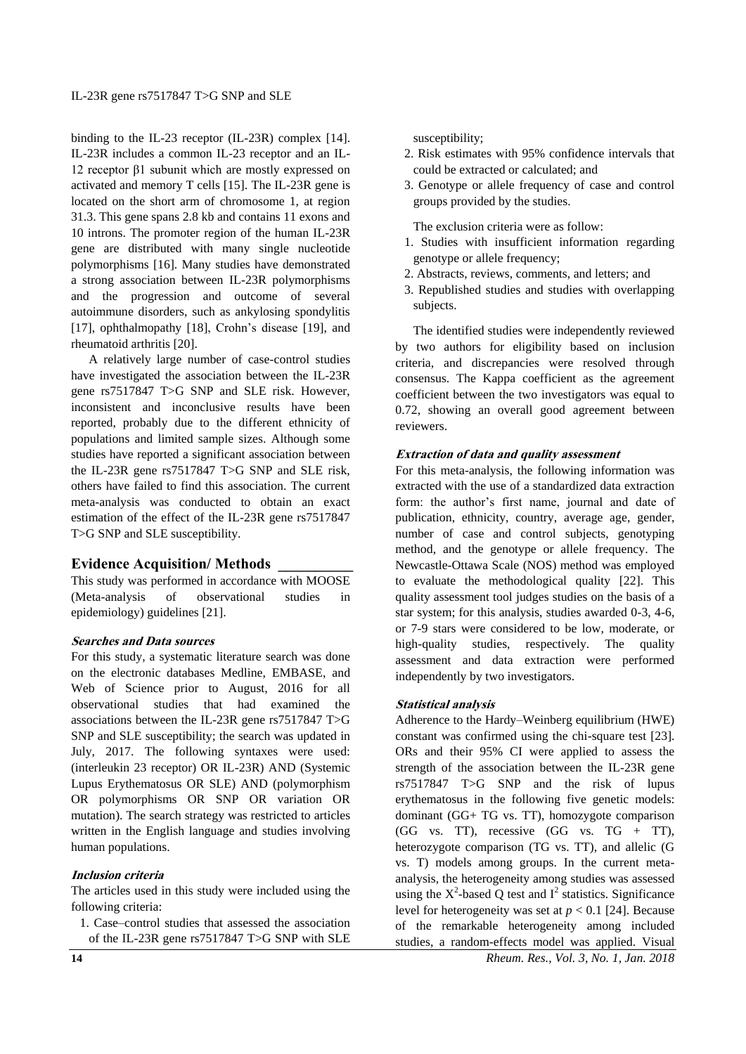binding to the IL-23 receptor (IL-23R) complex [14]. IL-23R includes a common IL-23 receptor and an IL-12 receptor β1 subunit which are mostly expressed on activated and memory T cells [15]. The IL-23R gene is located on the short arm of chromosome 1, at region 31.3. This gene spans 2.8 kb and contains 11 exons and 10 introns. The promoter region of the human IL-23R gene are distributed with many single nucleotide polymorphisms [16]. Many studies have demonstrated a strong association between IL-23R polymorphisms and the progression and outcome of several autoimmune disorders, such as ankylosing spondylitis [17], ophthalmopathy [18], Crohn's disease [19], and rheumatoid arthritis [20].

A relatively large number of case-control studies have investigated the association between the IL-23R gene rs7517847 T>G SNP and SLE risk. However, inconsistent and inconclusive results have been reported, probably due to the different ethnicity of populations and limited sample sizes. Although some studies have reported a significant association between the IL-23R gene rs7517847 T>G SNP and SLE risk, others have failed to find this association. The current meta-analysis was conducted to obtain an exact estimation of the effect of the IL-23R gene rs7517847 T>G SNP and SLE susceptibility.

# **Evidence Acquisition/ Methods \_\_\_\_\_\_\_\_\_\_**

This study was performed in accordance with MOOSE (Meta-analysis of observational studies in epidemiology) guidelines [21].

### **Searches and Data sources**

For this study, a systematic literature search was done on the electronic databases Medline, [EMBASE,](http://handbook.cochrane.org/chapter_6/6_2_1_3_medline_and_embase.htm) and Web of Science prior to August, 2016 for all observational studies that had examined the associations between the IL-23R gene rs7517847 T>G SNP and SLE susceptibility; the search was updated in July, 2017. The following syntaxes were used: (interleukin 23 receptor) OR IL-23R) AND (Systemic Lupus Erythematosus OR SLE) AND (polymorphism OR polymorphisms OR SNP OR variation OR mutation). The search strategy was restricted to articles written in the English language and studies involving human populations.

# **Inclusion criteria**

The articles used in this study were included using the following criteria:

1. Case–control studies that assessed the association of the IL-23R gene rs7517847 T>G SNP with SLE

susceptibility;

- 2. Risk estimates with 95% confidence intervals that could be extracted or calculated; and
- 3. Genotype or allele frequency of case and control groups provided by the studies.

The exclusion criteria were as follow:

- 1. Studies with insufficient information regarding genotype or allele frequency;
- 2. Abstracts, reviews, comments, and letters; and
- 3. Republished studies and studies with overlapping subjects.

The identified studies were independently reviewed by two authors for eligibility based on inclusion criteria, and discrepancies were resolved through consensus. The Kappa coefficient as the agreement coefficient between the two investigators was equal to 0.72, showing an overall good agreement between reviewers.

# **Extraction of data and quality assessment**

For this meta-analysis, the following information was extracted with the use of a standardized data extraction form: the author's first name, journal and date of publication, ethnicity, country, average age, gender, number of case and control subjects, genotyping method, and the genotype or allele frequency. The Newcastle-Ottawa Scale (NOS) method was employed to evaluate the methodological quality [22]. This quality assessment tool judges studies on the basis of a star system; for this analysis, studies awarded 0-3, 4-6, or 7-9 stars were considered to be low, moderate, or high-quality studies, respectively. The quality assessment and data extraction were performed independently by two investigators.

# **Statistical analysis**

Adherence to the Hardy–Weinberg equilibrium (HWE) constant was confirmed using the chi-square test [23]. ORs and their 95% CI were applied to assess the strength of the association between the IL-23R gene rs7517847 T>G SNP and the risk of lupus erythematosus in the following five genetic models: dominant (GG+ TG vs. TT), homozygote comparison  $(GG$  vs. TT), recessive  $(GG$  vs. T $G + TT$ ), heterozygote comparison (TG vs. TT), and allelic (G vs. T) models among groups. In the current metaanalysis, the heterogeneity among studies was assessed using the  $X^2$ -based Q test and  $I^2$  statistics. Significance level for heterogeneity was set at  $p < 0.1$  [24]. Because of the remarkable heterogeneity among included studies, a random-effects model was applied. Visual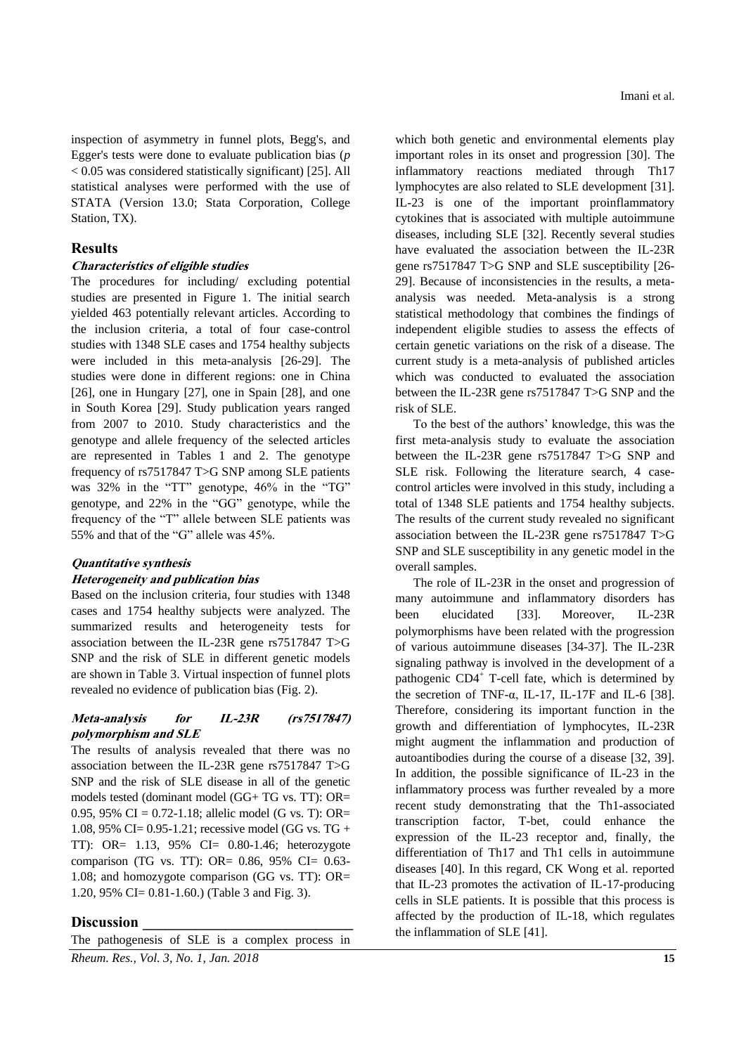inspection of asymmetry in funnel plots, Begg's, and Egger's tests were done to evaluate publication bias (*p* < 0.05 was considered statistically significant) [25]. All statistical analyses were performed with the use of STATA (Version 13.0; Stata Corporation, College Station, TX).

### **Results**

### **Characteristics of eligible studies**

The procedures for including/ excluding potential studies are presented in Figure 1. The initial search yielded 463 potentially relevant articles. According to the inclusion criteria, a total of four case-control studies with 1348 SLE cases and 1754 healthy subjects were included in this meta-analysis [26-29]. The studies were done in different regions: one in China [26], one in Hungary [27], one in Spain [28], and one in South Korea [29]. Study publication years ranged from 2007 to 2010. Study characteristics and the genotype and allele frequency of the selected articles are represented in Tables 1 and 2. The genotype frequency of rs7517847 T>G SNP among SLE patients was  $32\%$  in the "TT" genotype,  $46\%$  in the "TG" genotype, and 22% in the "GG" genotype, while the frequency of the "T" allele between SLE patients was 55% and that of the "G" allele was  $45\%$ .

#### **Quantitative synthesis**

#### **Heterogeneity and publication bias**

Based on the inclusion criteria, four studies with 1348 cases and 1754 healthy subjects were analyzed. The summarized results and heterogeneity tests for association between the IL-23R gene rs7517847 T>G SNP and the risk of SLE in different genetic models are shown in Table 3. Virtual inspection of funnel plots revealed no evidence of publication bias (Fig. 2).

### **Meta-analysis for IL-23R (rs7517847) polymorphism and SLE**

The results of analysis revealed that there was no association between the IL-23R gene rs7517847 T>G SNP and the risk of SLE disease in all of the genetic models tested (dominant model (GG+ TG vs. TT): OR= 0.95, 95% CI =  $0.72$ -1.18; allelic model (G vs. T): OR= 1.08, 95% CI= 0.95-1.21; recessive model (GG vs. TG + TT): OR= 1.13, 95% CI= 0.80-1.46; heterozygote comparison (TG vs. TT): OR= 0.86, 95% CI= 0.63- 1.08; and homozygote comparison (GG vs. TT): OR= 1.20, 95% CI= 0.81-1.60.) (Table 3 and Fig. 3).

### **Discussion \_\_\_\_\_\_\_\_\_\_\_\_\_\_\_\_\_\_\_\_\_\_\_\_\_\_\_\_**

The pathogenesis of SLE is a complex process in

which both genetic and environmental elements play important roles in its onset and progression [30]. The inflammatory reactions mediated through Th17 lymphocytes are also related to SLE development [31]. IL-23 is one of the important proinflammatory cytokines that is associated with multiple autoimmune diseases, including SLE [32]. Recently several studies have evaluated the association between the IL-23R gene rs7517847 T>G SNP and SLE susceptibility [26- 29]. Because of inconsistencies in the results, a metaanalysis was needed. Meta-analysis is a strong statistical methodology that combines the findings of independent eligible studies to assess the effects of certain genetic variations on the risk of a disease. The current study is a meta-analysis of published articles which was conducted to evaluated the association between the IL-23R gene rs7517847 T>G SNP and the risk of SLE.

To the best of the authors' knowledge, this was the first meta-analysis study to evaluate the association between the IL-23R gene rs7517847 T>G SNP and SLE risk. Following the literature search, 4 casecontrol articles were involved in this study, including a total of 1348 SLE patients and 1754 healthy subjects. The results of the current study revealed no significant association between the IL-23R gene rs7517847 T>G SNP and SLE susceptibility in any genetic model in the overall samples.

The role of IL-23R in the onset and progression of many autoimmune and inflammatory disorders has been elucidated [33]. Moreover, IL-23R polymorphisms have been related with the progression of various autoimmune diseases [34-37]. The IL-23R signaling pathway is involved in the development of a pathogenic  $CD4^+$  T-cell fate, which is determined by the secretion of TNF- $\alpha$ , IL-17, IL-17F and IL-6 [38]. Therefore, considering its important function in the growth and differentiation of lymphocytes, IL-23R might augment the inflammation and production of autoantibodies during the course of a disease [32, 39]. In addition, the possible significance of IL-23 in the inflammatory process was further revealed by a more recent study demonstrating that the Th1-associated transcription factor, T-bet, could enhance the expression of the IL-23 receptor and, finally, the differentiation of Th17 and Th1 cells in autoimmune diseases [40]. In this regard, CK Wong et al. reported that IL-23 promotes the activation of IL-17-producing cells in SLE patients. It is possible that this process is affected by the production of IL-18, which regulates the inflammation of SLE [41].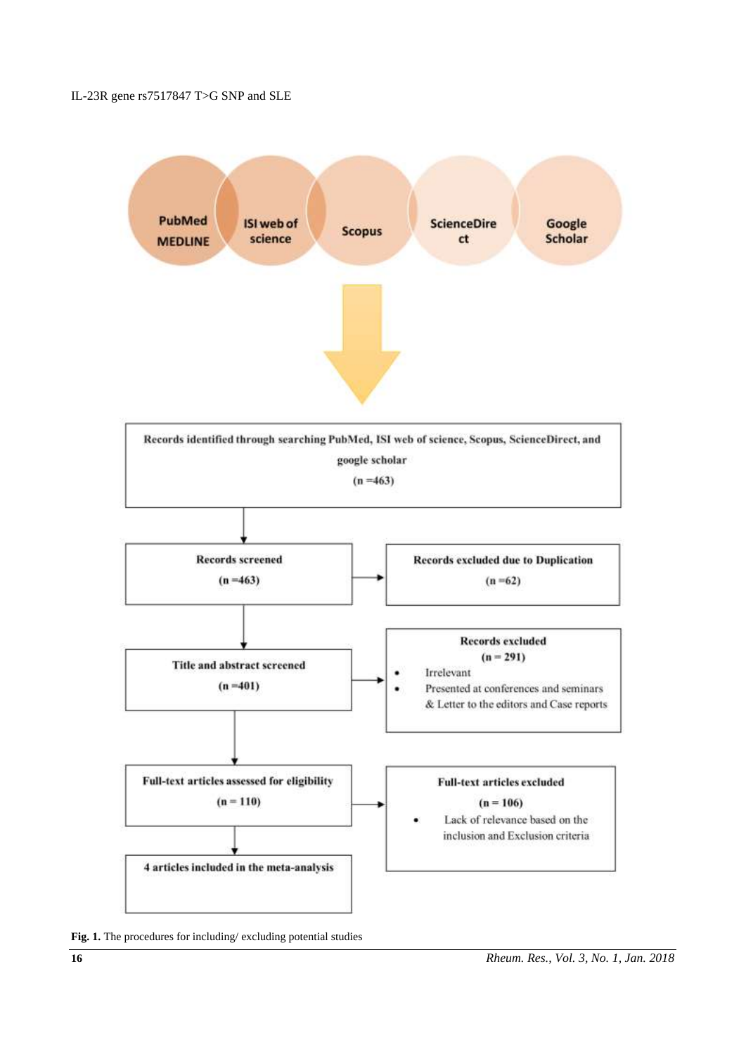IL-23R gene rs7517847 T>G SNP an[d SLE](http://press.endocrine.org/doi/abs/10.1210/jcem.80.1.7829637)



**Fig. 1.** The procedures for including/ excluding potential studies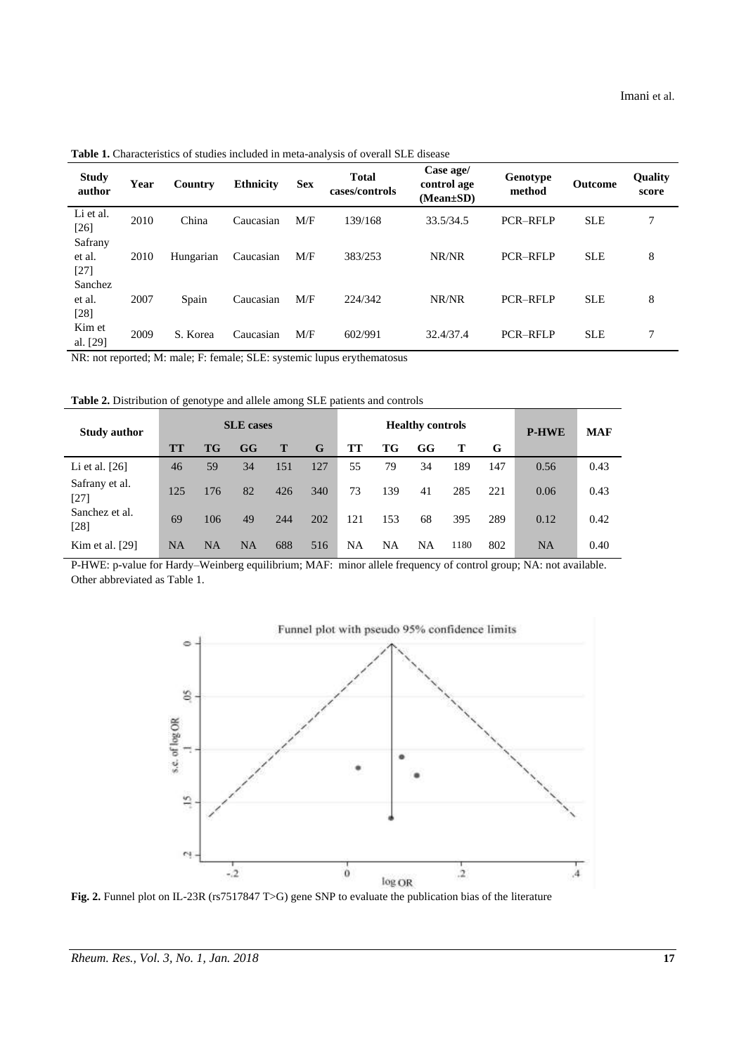**Table 1.** Characteristics of studies included in meta-analysis of overall SLE disease

| <b>Study</b><br>author      | Year | Country   | <b>Ethnicity</b> | <b>Sex</b> | <b>Total</b><br>cases/controls | Case age/<br>control age<br>$(Mean \pm SD)$ | Genotype<br>method | <b>Outcome</b> | <b>Quality</b><br>score |
|-----------------------------|------|-----------|------------------|------------|--------------------------------|---------------------------------------------|--------------------|----------------|-------------------------|
| Li et al.<br>$[26]$         | 2010 | China     | Caucasian        | M/F        | 139/168                        | 33.5/34.5                                   | <b>PCR-RFLP</b>    | <b>SLE</b>     | 7                       |
| Safrany<br>et al.<br>$[27]$ | 2010 | Hungarian | Caucasian        | M/F        | 383/253                        | NR/NR                                       | <b>PCR-RFLP</b>    | <b>SLE</b>     | 8                       |
| Sanchez<br>et al.<br>$[28]$ | 2007 | Spain     | Caucasian        | M/F        | 224/342                        | NR/NR                                       | <b>PCR-RFLP</b>    | <b>SLE</b>     | 8                       |
| Kim et<br>al. [29]          | 2009 | S. Korea  | Caucasian        | M/F        | 602/991                        | 32.4/37.4                                   | <b>PCR-RFLP</b>    | <b>SLE</b>     | 7                       |

NR: not reported; M: male; F: female; SLE: systemic lupus erythematosus

**Table 2.** Distribution of genotype and allele among SLE patients and controls

| <b>Study author</b>      | <b>SLE</b> cases |           |    |     |     | <b>Healthy controls</b> |           |           |      |     | <b>P-HWE</b> | <b>MAF</b> |
|--------------------------|------------------|-----------|----|-----|-----|-------------------------|-----------|-----------|------|-----|--------------|------------|
|                          | <b>TT</b>        | TG        | GG | T   | G   | TT                      | <b>TG</b> | GG        |      | G   |              |            |
| Li et al. $[26]$         | 46               | 59        | 34 | 151 | 127 | 55                      | 79        | 34        | 189  | 147 | 0.56         | 0.43       |
| Safrany et al.<br>$[27]$ | 125              | 176       | 82 | 426 | 340 | 73                      | 139       | 41        | 285  | 221 | 0.06         | 0.43       |
| Sanchez et al.<br>$[28]$ | 69               | 106       | 49 | 244 | 202 | 121                     | 153       | 68        | 395  | 289 | 0.12         | 0.42       |
| Kim et al. $[29]$        | <b>NA</b>        | <b>NA</b> | NA | 688 | 516 | NA                      | NA        | <b>NA</b> | 1180 | 802 | <b>NA</b>    | 0.40       |

P-HWE: p-value for Hardy–Weinberg equilibrium; MAF: minor allele frequency of control group; NA: not available. Other abbreviated as Table 1.



**Fig. 2.** Funnel plot on IL-23R (rs7517847 T>G) gene SNP to evaluate the publication bias of the literature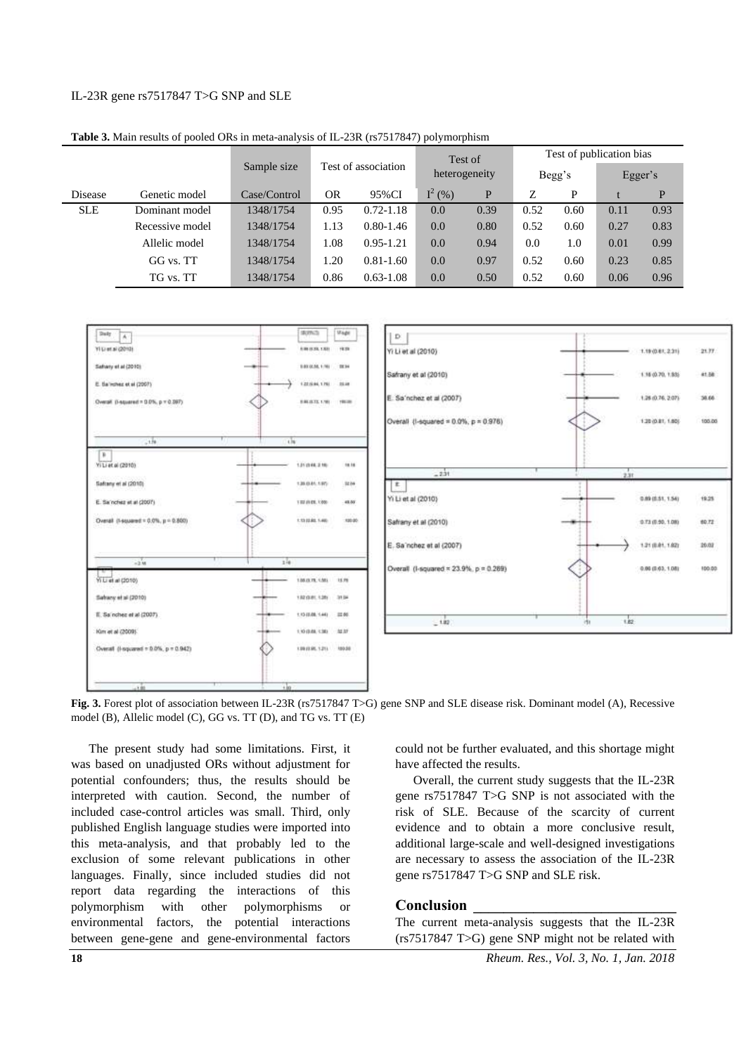### IL-23R gene rs7517847 T>G SNP an[d SLE](http://press.endocrine.org/doi/abs/10.1210/jcem.80.1.7829637)

|            |                 |              |                     |               |               | Test of |        | Test of publication bias |         |      |  |
|------------|-----------------|--------------|---------------------|---------------|---------------|---------|--------|--------------------------|---------|------|--|
|            |                 | Sample size  | Test of association |               | heterogeneity |         | Begg's |                          | Egger's |      |  |
| Disease    | Genetic model   | Case/Control | OR                  | 95%CI         | $I^2(% )$     | P       | Z      | P                        |         | P    |  |
| <b>SLE</b> | Dominant model  | 1348/1754    | 0.95                | $0.72 - 1.18$ | 0.0           | 0.39    | 0.52   | 0.60                     | 0.11    | 0.93 |  |
|            | Recessive model | 1348/1754    | 1.13                | $0.80 - 1.46$ | 0.0           | 0.80    | 0.52   | 0.60                     | 0.27    | 0.83 |  |
|            | Allelic model   | 1348/1754    | 1.08                | $0.95 - 1.21$ | 0.0           | 0.94    | 0.0    | 1.0                      | 0.01    | 0.99 |  |
|            | GG vs. TT       | 1348/1754    | 1.20                | $0.81 - 1.60$ | 0.0           | 0.97    | 0.52   | 0.60                     | 0.23    | 0.85 |  |
|            | TG vs. TT       | 1348/1754    | 0.86                | $0.63 - 1.08$ | 0.0           | 0.50    | 0.52   | 0.60                     | 0.06    | 0.96 |  |

**Table 3.** Main results of pooled ORs in meta-analysis of IL-23R (rs7517847) polymorphism





**Fig. 3.** Forest plot of association between IL-23R (rs7517847 T>G) gene SNP and SLE disease risk. Dominant model (A), Recessive model (B), Allelic model (C), GG vs. TT (D), and TG vs. TT (E)

The present study had some limitations. First, it was based on unadjusted ORs without adjustment for potential confounders; thus, the results should be interpreted with caution. Second, the number of included case-control articles was small. Third, only published English language studies were imported into this meta-analysis, and that probably led to the exclusion of some relevant publications in other languages. Finally, since included studies did not report data regarding the interactions of this polymorphism with other polymorphisms or environmental factors, the potential interactions between gene-gene and gene-environmental factors

could not be further evaluated, and this shortage might have affected the results.

Overall, the current study suggests that the IL-23R gene rs7517847 T>G SNP is not associated with the risk of SLE. Because of the scarcity of current evidence and to obtain a more conclusive result, additional large-scale and well-designed investigations are necessary to assess the association of the IL-23R gene rs7517847 T>G SNP and SLE risk.

### **Conclusion \_\_\_\_\_\_\_\_\_\_\_\_\_\_\_\_\_\_\_\_\_\_\_\_\_\_\_**

The current meta-analysis suggests that the IL-23R (rs7517847 T>G) gene SNP might not be related with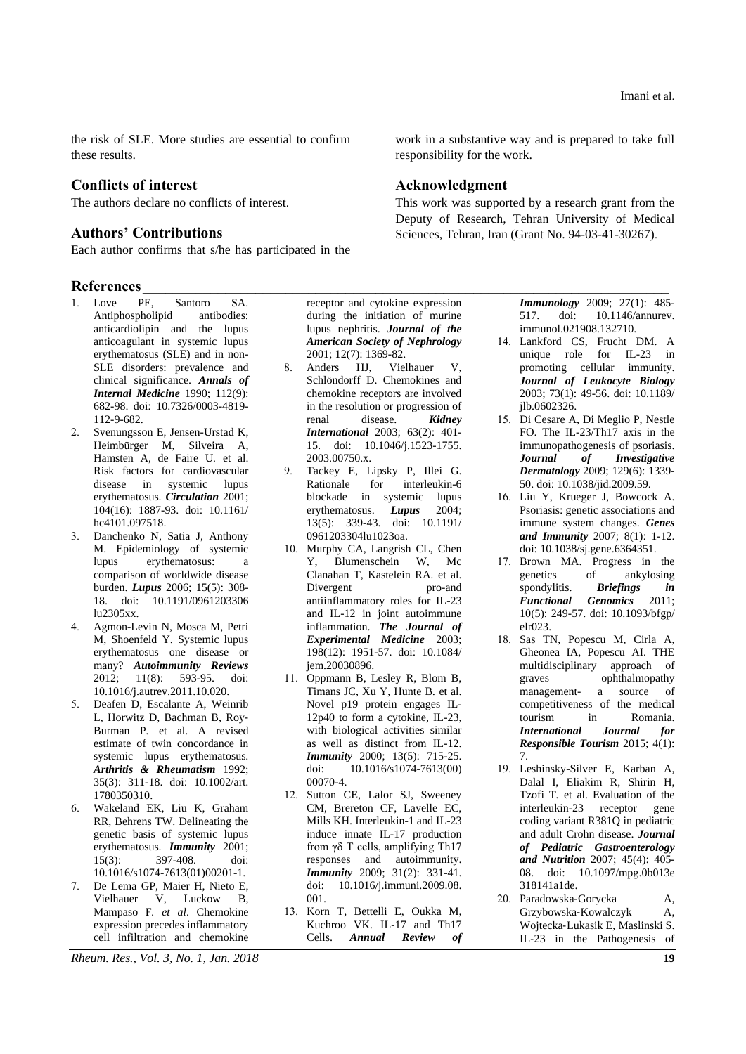the risk of SLE. More studies are essential to confirm these results.

# **Conflicts of interest**

The authors declare no conflicts of interest.

# **Authors' Contributions**

Each author confirms that s/he has participated in the

# References **with a set of the set of the set of the set of the set of the set of the set of the set of the set of the set of the set of the set of the set of the set of the set of the set of the set of the set of the set o**

- 1. Love PE, Santoro SA. Antiphospholipid antibodies: anticardiolipin and the lupus anticoagulant in systemic lupus erythematosus (SLE) and in non-SLE disorders: prevalence and clinical significance. *Annals of Internal Medicine* 1990; 112(9): 682-98. doi: 10.7326/0003-4819- 112-9-682.
- 2. Svenungsson E, Jensen-Urstad K, Heimbürger M, Silveira A, Hamsten A, de Faire U*.* et al. Risk factors for cardiovascular disease in systemic lupus erythematosus. *Circulation* 2001; 104(16): 1887-93. doi: 10.1161/ hc4101.097518.
- 3. Danchenko N, Satia J, Anthony M. Epidemiology of systemic lupus erythematosus: a comparison of worldwide disease burden. *Lupus* 2006; 15(5): 308- 18. doi: 10.1191/0961203306 lu2305xx.
- 4. Agmon-Levin N, Mosca M, Petri M, Shoenfeld Y. Systemic lupus erythematosus one disease or many? *Autoimmunity Reviews* 2012; 11(8): 593-95. doi: 10.1016/j.autrev.2011.10.020.
- 5. Deafen D, Escalante A, Weinrib L, Horwitz D, Bachman B, Roy‐ Burman P. et al. A revised estimate of twin concordance in systemic lupus erythematosus. *Arthritis & Rheumatism* 1992; 35(3): 311-18. doi: 10.1002/art. 1780350310.
- 6. Wakeland EK, Liu K, Graham RR, Behrens TW. Delineating the genetic basis of systemic lupus erythematosus. *Immunity* 2001; 15(3): 397-408. doi: 10.1016/s1074-7613(01)00201-1.
- 7. De Lema GP, Maier H, Nieto E, Vielhauer V, Luckow B, Mampaso F*. et al*. Chemokine expression precedes inflammatory cell infiltration and chemokine

*Rheum. Res., Vol. 3, No. 1, Jan. 2018* **19**

receptor and cytokine expression during the initiation of murine lupus nephritis. *Journal of the American Society of Nephrology* 2001; 12(7): 1369-82.

- 8. Anders HJ, Vielhauer V, Schlöndorff D. Chemokines and chemokine receptors are involved in the resolution or progression of renal disease. *Kidney International* 2003; 63(2): 401- 15. doi: 10.1046/j.1523-1755. 2003.00750.x.
- 9. Tackey E, Lipsky P, Illei G. Rationale for interleukin-6 blockade in systemic lupus erythematosus. *Lupus* 2004; 13(5): 339-43. doi: 10.1191/ 0961203304lu1023oa.
- 10. Murphy CA, Langrish CL, Chen Y, Blumenschein W, Mc Clanahan T, Kastelein RA*.* et al. Divergent antiinflammatory roles for IL-23 and IL-12 in joint autoimmune inflammation. *The Journal of Experimental Medicine* 2003; 198(12): 1951-57. doi: 10.1084/ jem.20030896.
- 11. Oppmann B, Lesley R, Blom B, Timans JC, Xu Y, Hunte B*.* et al. Novel p19 protein engages IL-12p40 to form a cytokine, IL-23, with biological activities similar as well as distinct from IL-12. *Immunity* 2000; 13(5): 715-25. doi: 10.1016/s1074-7613(00) 00070-4.
- 12. Sutton CE, Lalor SJ, Sweeney CM, Brereton CF, Lavelle EC, Mills KH. Interleukin-1 and IL-23 induce innate IL-17 production from γδ T cells, amplifying Th17 responses and autoimmunity. *Immunity* 2009; 31(2): 331-41. doi: 10.1016/j.immuni.2009.08. 001.
- 13. Korn T, Bettelli E, Oukka M, Kuchroo VK. IL-17 and Th17 Cells. *Annual Review of*

work in a substantive way and is prepared to take full responsibility for the work.

# **Acknowledgment**

This work was supported by a research grant from the Deputy of Research, Tehran University of Medical Sciences, Tehran, Iran (Grant No. 94-03-41-30267).

> *Immunology* 2009; 27(1): 485- 517. doi: 10.1146/annurev. immunol.021908.132710.

- 14. Lankford CS, Frucht DM. A unique role for IL-23 in promoting cellular immunity. *Journal of Leukocyte Biology* 2003; 73(1): 49-56. doi: 10.1189/ jlb.0602326.
- 15. Di Cesare A, Di Meglio P, Nestle FO. The IL-23/Th17 axis in the immunopathogenesis of psoriasis. *Journal of Investigative Dermatology* 2009; 129(6): 1339- 50. doi: 10.1038/jid.2009.59.
- 16. Liu Y, Krueger J, Bowcock A. Psoriasis: genetic associations and immune system changes. *Genes and Immunity* 2007; 8(1): 1-12. doi: 10.1038/sj.gene.6364351.
- 17. Brown MA. Progress in the genetics of ankylosing spondylitis. *Briefings in Functional Genomics* 2011; 10(5): 249-57. doi: 10.1093/bfgp/ elr023.
- 18. Sas TN, Popescu M, Cirla A, Gheonea IA, Popescu AI. THE multidisciplinary approach of graves ophthalmopathy management- a source of competitiveness of the medical tourism in Romania. *International Journal for Responsible Tourism* 2015; 4(1): 7.
- 19. Leshinsky-Silver E, Karban A, Dalal I, Eliakim R, Shirin H, Tzofi T*.* et al. Evaluation of the interleukin-23 receptor gene coding variant R381Q in pediatric and adult Crohn disease. *Journal of Pediatric Gastroenterology and Nutrition* 2007; 45(4): 405- 08. doi: 10.1097/mpg.0b013e 318141a1de.
- 20. Paradowska‐Gorycka A, Grzybowska‐Kowalczyk A, Wojtecka‐Lukasik E, Maslinski S. IL‐23 in the Pathogenesis of